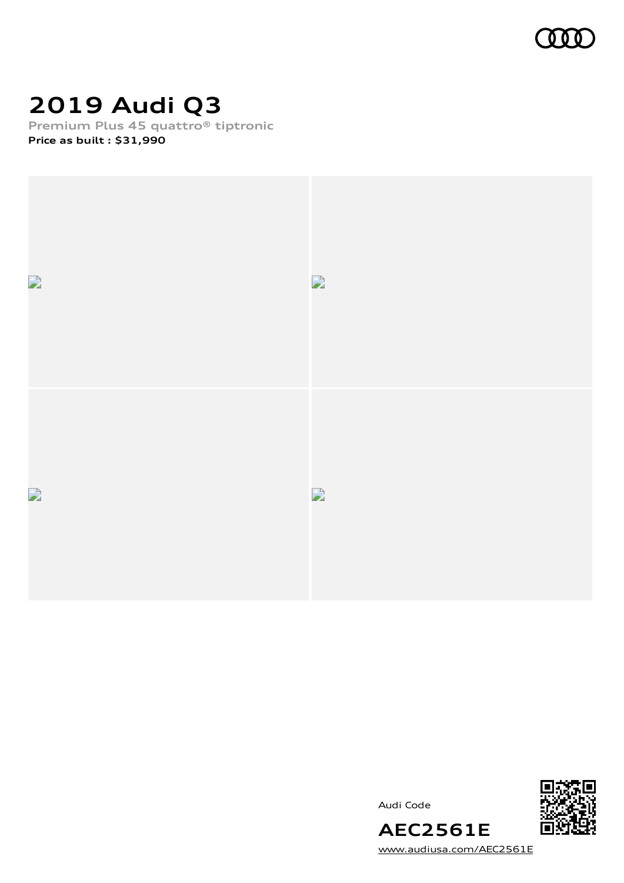

# **2019 Audi Q3**

**Premium Plus 45 quattro® tiptronic**

**Price as built [:](#page-8-0) \$31,990**



Audi Code



[www.audiusa.com/AEC2561E](https://www.audiusa.com/AEC2561E)

**AEC2561E**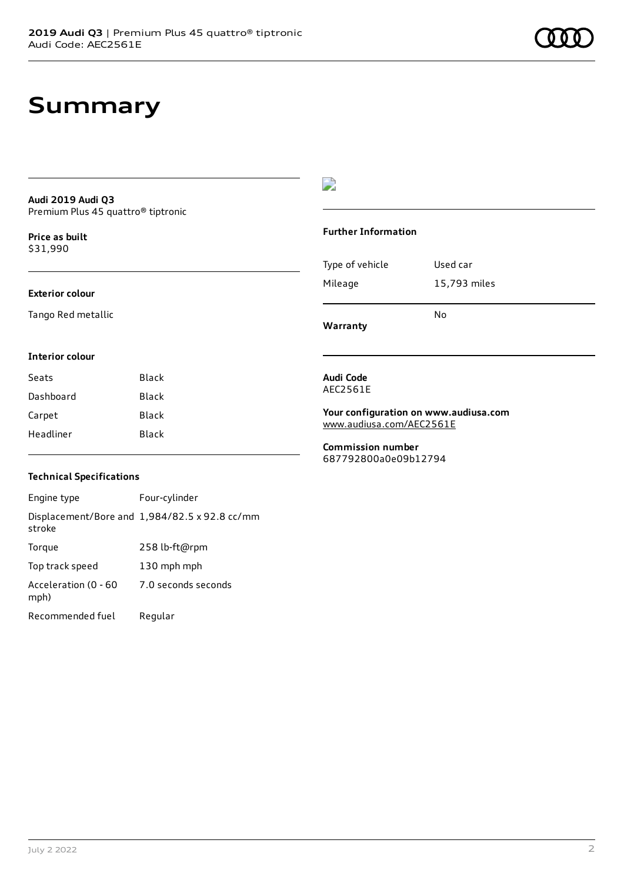#### **Audi 2019 Audi Q3** Premium Plus 45 quattro® tiptronic

**Price as buil[t](#page-8-0)** \$31,990

#### **Exterior colour**

Tango Red metallic

#### D

#### **Further Information**

|                 | No           |
|-----------------|--------------|
| Mileage         | 15,793 miles |
| Type of vehicle | Used car     |

**Warranty**

#### **Interior colour**

| Seats     | Black |
|-----------|-------|
| Dashboard | Black |
| Carpet    | Black |
| Headliner | Black |

#### **Audi Code** AEC2561E

**Your configuration on www.audiusa.com** [www.audiusa.com/AEC2561E](https://www.audiusa.com/AEC2561E)

**Commission number** 687792800a0e09b12794

#### **Technical Specifications**

Engine type Four-cylinder Displacement/Bore and 1,984/82.5 x 92.8 cc/mm stroke Torque 258 lb-ft@rpm Top track speed 130 mph mph Acceleration (0 - 60 mph) 7.0 seconds seconds Recommended fuel Regular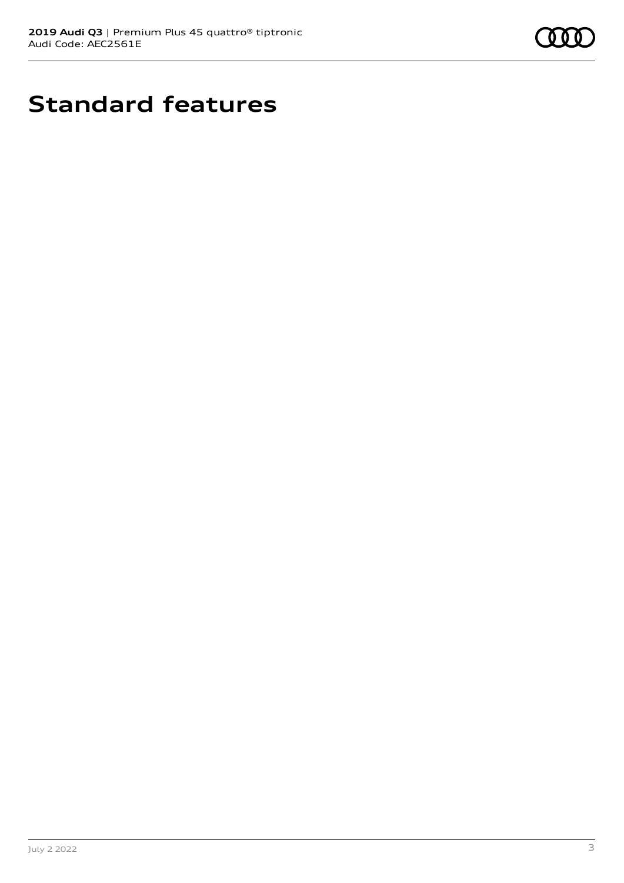

# **Standard features**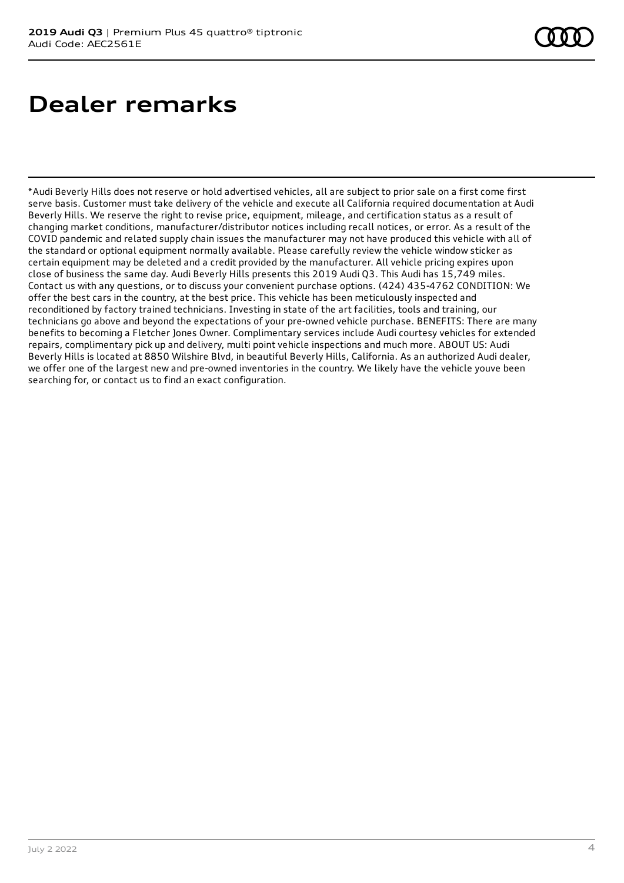# **Dealer remarks**

\*Audi Beverly Hills does not reserve or hold advertised vehicles, all are subject to prior sale on a first come first serve basis. Customer must take delivery of the vehicle and execute all California required documentation at Audi Beverly Hills. We reserve the right to revise price, equipment, mileage, and certification status as a result of changing market conditions, manufacturer/distributor notices including recall notices, or error. As a result of the COVID pandemic and related supply chain issues the manufacturer may not have produced this vehicle with all of the standard or optional equipment normally available. Please carefully review the vehicle window sticker as certain equipment may be deleted and a credit provided by the manufacturer. All vehicle pricing expires upon close of business the same day. Audi Beverly Hills presents this 2019 Audi Q3. This Audi has 15,749 miles. Contact us with any questions, or to discuss your convenient purchase options. (424) 435-4762 CONDITION: We offer the best cars in the country, at the best price. This vehicle has been meticulously inspected and reconditioned by factory trained technicians. Investing in state of the art facilities, tools and training, our technicians go above and beyond the expectations of your pre-owned vehicle purchase. BENEFITS: There are many benefits to becoming a Fletcher Jones Owner. Complimentary services include Audi courtesy vehicles for extended repairs, complimentary pick up and delivery, multi point vehicle inspections and much more. ABOUT US: Audi Beverly Hills is located at 8850 Wilshire Blvd, in beautiful Beverly Hills, California. As an authorized Audi dealer, we offer one of the largest new and pre-owned inventories in the country. We likely have the vehicle youve been searching for, or contact us to find an exact configuration.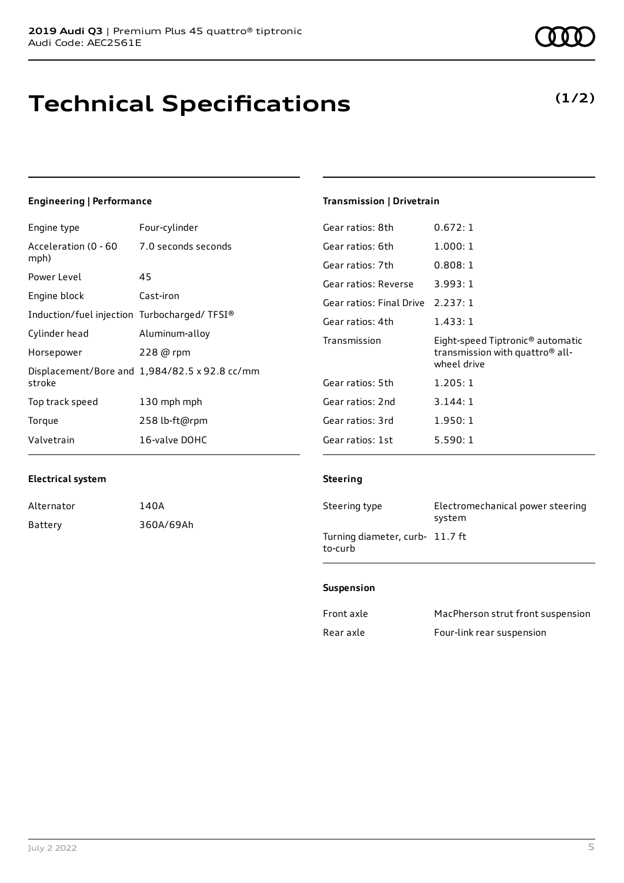# **Technical Specifications**

### Engine type Four-cylinder

**Engineering | Performance**

|                                               | Gear ratios: 6t                                                                               |
|-----------------------------------------------|-----------------------------------------------------------------------------------------------|
|                                               | Gear ratios: 7t                                                                               |
|                                               | Gear ratios: Re                                                                               |
| Cast-iron                                     | Gear ratios: Fir                                                                              |
|                                               | Gear ratios: 4t                                                                               |
| Aluminum-alloy                                | Transmission                                                                                  |
| 228 @ rpm                                     |                                                                                               |
| Displacement/Bore and 1,984/82.5 x 92.8 cc/mm |                                                                                               |
|                                               | Gear ratios: 5t                                                                               |
| 130 mph mph                                   | Gear ratios: 2n                                                                               |
| 258 lb-ft@rpm                                 | Gear ratios: 3r                                                                               |
| 16-valve DOHC                                 | Gear ratios: 1s                                                                               |
|                                               | Acceleration (0 - 60 7.0 seconds seconds<br>45<br>Induction/fuel injection Turbocharged/TFSI® |

## **Transmission | Drivetrain**

| Gear ratios: 8th                  | 0.672:1                                                                                                    |
|-----------------------------------|------------------------------------------------------------------------------------------------------------|
| Gear ratios: 6th                  | 1.000:1                                                                                                    |
| Gear ratios: 7th                  | 0.808:1                                                                                                    |
| Gear ratios: Reverse              | 3.993:1                                                                                                    |
| Gear ratios: Final Drive 2.237: 1 |                                                                                                            |
| Gear ratios: 4th                  | 1.433:1                                                                                                    |
|                                   |                                                                                                            |
| Transmission                      | Eight-speed Tiptronic <sup>®</sup> automatic<br>transmission with quattro <sup>®</sup> all-<br>wheel drive |
| Gear ratios: 5th                  | 1.205:1                                                                                                    |
| Gear ratios: 2nd                  | 3.144:1                                                                                                    |
| Gear ratios: 3rd                  | 1.950:1                                                                                                    |
| Gear ratios: 1st                  | 5.590:1                                                                                                    |

#### **Electrical system**

| Alternator | 140A      |
|------------|-----------|
| Battery    | 360A/69Ah |

#### **Steering**

| Steering type                              | Electromechanical power steering<br>system |
|--------------------------------------------|--------------------------------------------|
| Turning diameter, curb- 11.7 ft<br>to-curb |                                            |

#### **Suspension**

| Front axle | MacPherson strut front suspension |
|------------|-----------------------------------|
| Rear axle  | Four-link rear suspension         |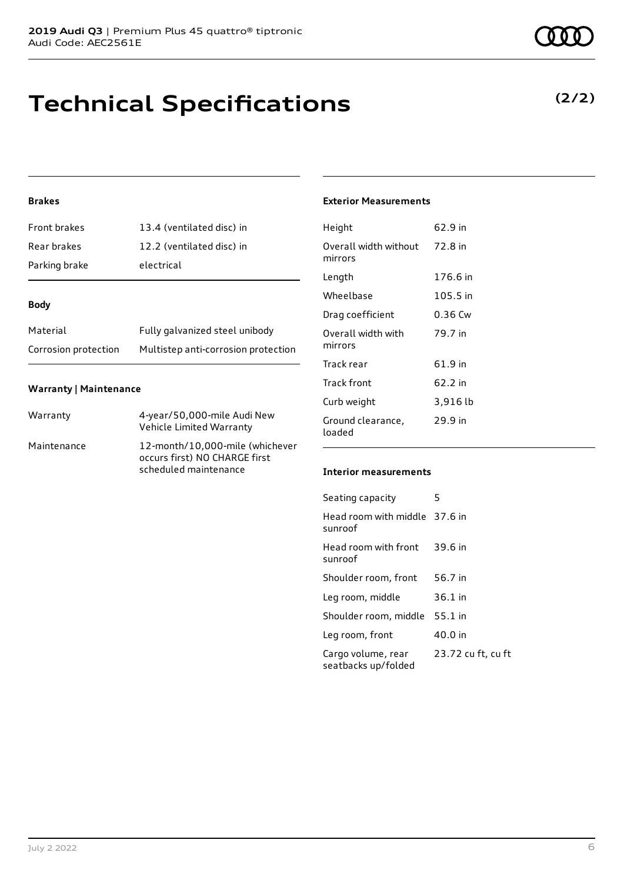## **Technical Specifications**

### **Brakes**

| Front brakes  | 13.4 (ventilated disc) in |
|---------------|---------------------------|
| Rear brakes   | 12.2 (ventilated disc) in |
| Parking brake | electrical                |

#### **Body**

| Material             | Fully galvanized steel unibody      |
|----------------------|-------------------------------------|
| Corrosion protection | Multistep anti-corrosion protection |

#### **Warranty | Maintenance**

| Warranty    | 4-year/50,000-mile Audi New<br>Vehicle Limited Warranty                                   |
|-------------|-------------------------------------------------------------------------------------------|
| Maintenance | 12-month/10,000-mile (whichever<br>occurs first) NO CHARGE first<br>scheduled maintenance |

#### **Exterior Measurements**

| Height                           | 62.9 in  |
|----------------------------------|----------|
| Overall width without<br>mirrors | 72.8 in  |
| Length                           | 176.6 in |
| Wheelbase                        | 105.5 in |
| Drag coefficient                 | 0.36 Cw  |
| Overall width with<br>mirrors    | 79.7 in  |
| Track rear                       | 61.9 in  |
| Track front                      | 62.2 in  |
| Curb weight                      | 3,916 lb |
| Ground clearance,<br>loaded      | 29.9 in  |

#### **Interior measurements**

| Seating capacity                          | 5                  |
|-------------------------------------------|--------------------|
| Head room with middle 37.6 in<br>sunroof  |                    |
| Head room with front<br>sunroof           | 39.6 in            |
| Shoulder room, front                      | 56.7 in            |
| Leg room, middle                          | 36.1 in            |
| Shoulder room, middle                     | 55.1 in            |
| Leg room, front                           | 40.0 in            |
| Cargo volume, rear<br>seatbacks up/folded | 23.72 cu ft, cu ft |

## **(2/2)**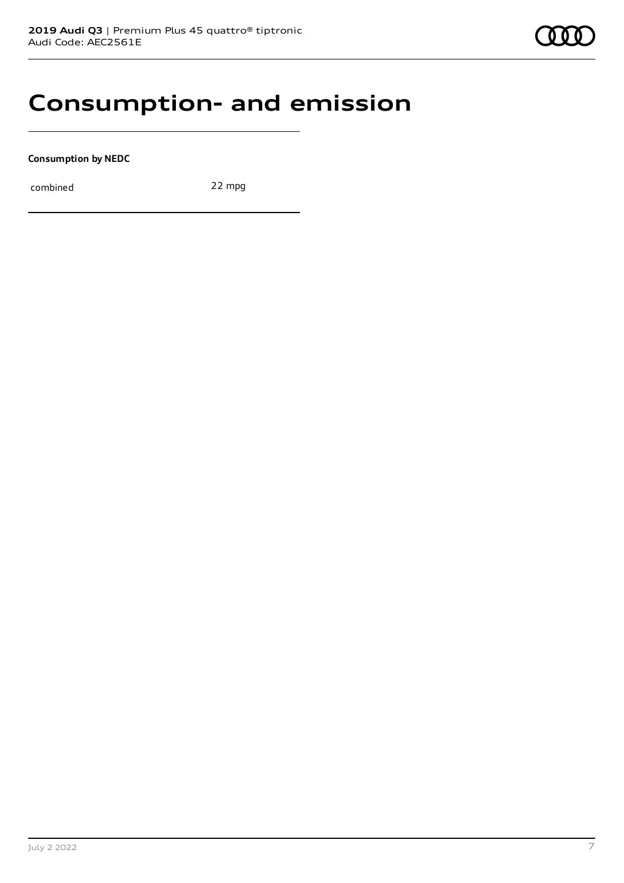## **Consumption- and emission**

**Consumption by NEDC**

combined 22 mpg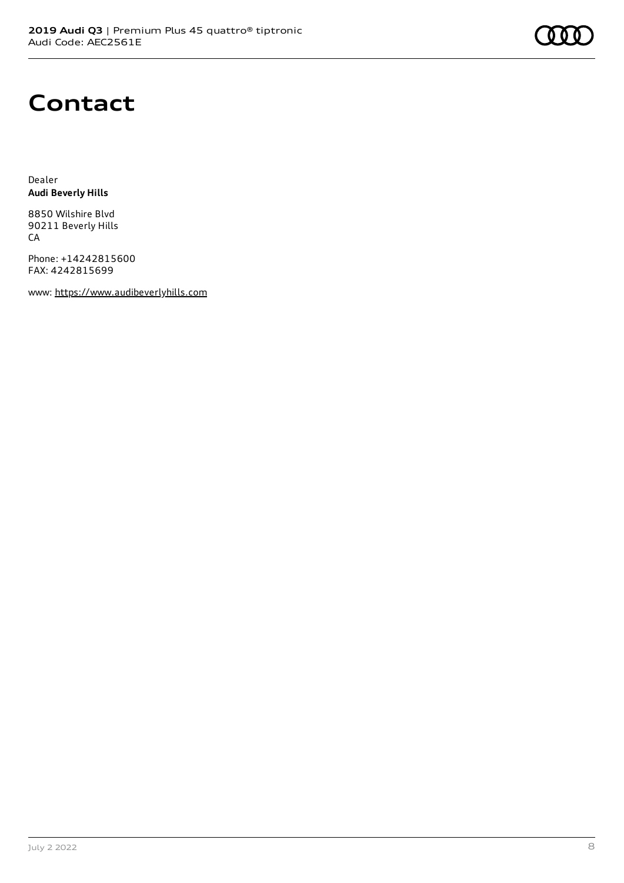# **Contact**

Dealer **Audi Beverly Hills**

8850 Wilshire Blvd 90211 Beverly Hills CA

Phone: +14242815600 FAX: 4242815699

www: [https://www.audibeverlyhills.com](https://www.audibeverlyhills.com/)